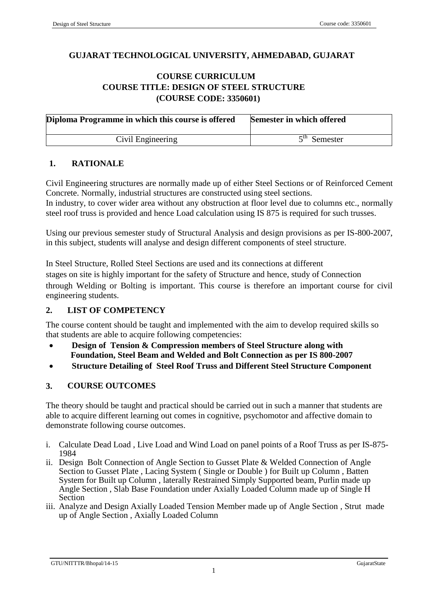## **GUJARAT TECHNOLOGICAL UNIVERSITY, AHMEDABAD, GUJARAT**

## **COURSE CURRICULUM COURSE TITLE: DESIGN OF STEEL STRUCTURE (COURSE CODE: 3350601)**

| Diploma Programme in which this course is offered | Semester in which offered |
|---------------------------------------------------|---------------------------|
| Civil Engineering                                 | $\epsilon$ th<br>Semester |

#### **1. RATIONALE**

Civil Engineering structures are normally made up of either Steel Sections or of Reinforced Cement Concrete. Normally, industrial structures are constructed using steel sections.

In industry, to cover wider area without any obstruction at floor level due to columns etc., normally steel roof truss is provided and hence Load calculation using IS 875 is required for such trusses.

Using our previous semester study of Structural Analysis and design provisions as per IS-800-2007, in this subject, students will analyse and design different components of steel structure.

In Steel Structure, Rolled Steel Sections are used and its connections at different stages on site is highly important for the safety of Structure and hence, study of Connection through Welding or Bolting is important. This course is therefore an important course for civil engineering students.

### **2. LIST OF COMPETENCY**

The course content should be taught and implemented with the aim to develop required skills so that students are able to acquire following competencies:

- **Design of Tension & Compression members of Steel Structure along with Foundation, Steel Beam and Welded and Bolt Connection as per IS 800-2007**
- **Structure Detailing of Steel Roof Truss and Different Steel Structure Component**

# **3. COURSE OUTCOMES**

The theory should be taught and practical should be carried out in such a manner that students are able to acquire different learning out comes in cognitive, psychomotor and affective domain to demonstrate following course outcomes.

- i. Calculate Dead Load , Live Load and Wind Load on panel points of a Roof Truss as per IS-875- 1984
- ii. Design Bolt Connection of Angle Section to Gusset Plate & Welded Connection of Angle Section to Gusset Plate , Lacing System ( Single or Double ) for Built up Column , Batten System for Built up Column , laterally Restrained Simply Supported beam, Purlin made up Angle Section , Slab Base Foundation under Axially Loaded Column made up of Single H Section
- iii. Analyze and Design Axially Loaded Tension Member made up of Angle Section , Strut made up of Angle Section , Axially Loaded Column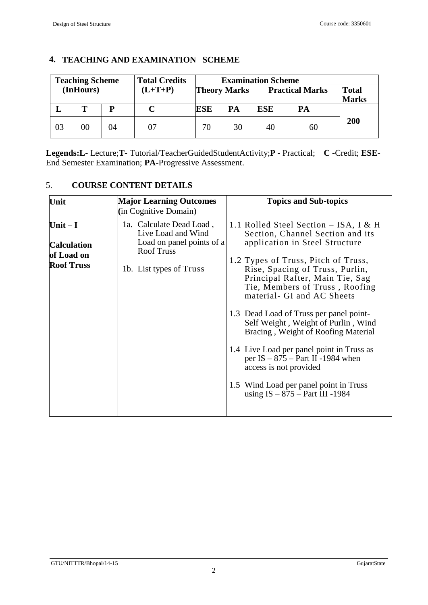|    | <b>Teaching Scheme</b> |    | <b>Total Credits</b> | <b>Examination Scheme</b> |    |            |                        |                              |
|----|------------------------|----|----------------------|---------------------------|----|------------|------------------------|------------------------------|
|    | (InHours)              |    | $(L+T+P)$            | <b>Theory Marks</b>       |    |            | <b>Practical Marks</b> | <b>Total</b><br><b>Marks</b> |
|    | T                      | D  |                      | ESE                       | PA | <b>ESE</b> | PА                     |                              |
| 03 | 00                     | 04 |                      | 70                        | 30 | 40         | 60                     | 200                          |

### **4. TEACHING AND EXAMINATION SCHEME**

**Legends:L-** Lecture;**T-** Tutorial/TeacherGuidedStudentActivity;**P -** Practical; **C -**Credit; **ESE**-End Semester Examination; **PA**-Progressive Assessment.

| Unit                            | <b>Major Learning Outcomes</b><br>(in Cognitive Domain)                                          | <b>Topics and Sub-topics</b>                                                                                                                                              |
|---------------------------------|--------------------------------------------------------------------------------------------------|---------------------------------------------------------------------------------------------------------------------------------------------------------------------------|
| Unit $-I$<br><b>Calculation</b> | 1a. Calculate Dead Load,<br>Live Load and Wind<br>Load on panel points of a<br><b>Roof Truss</b> | 1.1 Rolled Steel Section – ISA, I & H<br>Section, Channel Section and its<br>application in Steel Structure                                                               |
| of Load on<br><b>Roof Truss</b> | 1b. List types of Truss                                                                          | 1.2 Types of Truss, Pitch of Truss,<br>Rise, Spacing of Truss, Purlin,<br>Principal Rafter, Main Tie, Sag<br>Tie, Members of Truss, Roofing<br>material- GI and AC Sheets |
|                                 |                                                                                                  | 1.3 Dead Load of Truss per panel point-<br>Self Weight, Weight of Purlin, Wind<br>Bracing, Weight of Roofing Material                                                     |
|                                 |                                                                                                  | 1.4 Live Load per panel point in Truss as<br>per IS $-875$ – Part II -1984 when<br>access is not provided                                                                 |
|                                 |                                                                                                  | 1.5 Wind Load per panel point in Truss<br>using $IS - 875 - Part III - 1984$                                                                                              |

### 5. **COURSE CONTENT DETAILS**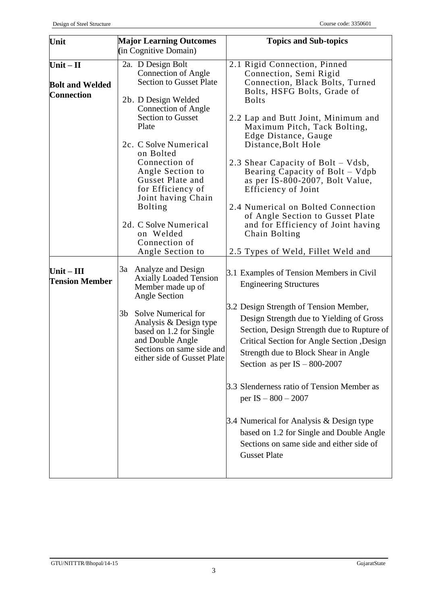| Unit                                                       | <b>Major Learning Outcomes</b>                                                                                                                                                    | <b>Topics and Sub-topics</b>                                                                                                                                                                                                  |
|------------------------------------------------------------|-----------------------------------------------------------------------------------------------------------------------------------------------------------------------------------|-------------------------------------------------------------------------------------------------------------------------------------------------------------------------------------------------------------------------------|
|                                                            | (in Cognitive Domain)                                                                                                                                                             |                                                                                                                                                                                                                               |
| $Unit - II$<br><b>Bolt and Welded</b><br><b>Connection</b> | 2a. D Design Bolt<br><b>Connection of Angle</b><br><b>Section to Gusset Plate</b><br>2b. D Design Welded<br><b>Connection of Angle</b>                                            | 2.1 Rigid Connection, Pinned<br>Connection, Semi Rigid<br>Connection, Black Bolts, Turned<br>Bolts, HSFG Bolts, Grade of<br><b>Bolts</b>                                                                                      |
|                                                            | <b>Section to Gusset</b><br>Plate<br>2c. C Solve Numerical<br>on Bolted<br>Connection of<br>Angle Section to                                                                      | 2.2 Lap and Butt Joint, Minimum and<br>Maximum Pitch, Tack Bolting,<br>Edge Distance, Gauge<br>Distance, Bolt Hole<br>2.3 Shear Capacity of Bolt – Vdsb,<br>Bearing Capacity of Bolt - Vdpb                                   |
|                                                            | Gusset Plate and<br>for Efficiency of<br>Joint having Chain<br><b>Bolting</b><br>2d. C Solve Numerical<br>on Welded<br>Connection of<br>Angle Section to                          | as per IS-800-2007, Bolt Value,<br>Efficiency of Joint<br>2.4 Numerical on Bolted Connection<br>of Angle Section to Gusset Plate<br>and for Efficiency of Joint having<br>Chain Bolting<br>2.5 Types of Weld, Fillet Weld and |
| Unit $-$ III<br><b>Tension Member</b>                      | Analyze and Design<br>3a<br><b>Axially Loaded Tension</b><br>Member made up of<br>Angle Section<br>Solve Numerical for<br>3b<br>Analysis & Design type<br>based on 1.2 for Single | 3.1 Examples of Tension Members in Civil<br><b>Engineering Structures</b><br>3.2 Design Strength of Tension Member,<br>Design Strength due to Yielding of Gross<br>Section, Design Strength due to Rupture of                 |
|                                                            | and Double Angle<br>Sections on same side and<br>either side of Gusset Plate                                                                                                      | Critical Section for Angle Section , Design<br>Strength due to Block Shear in Angle<br>Section as per $IS - 800-2007$<br>3.3 Slenderness ratio of Tension Member as<br>per IS $-800 - 2007$                                   |
|                                                            |                                                                                                                                                                                   | 3.4 Numerical for Analysis & Design type<br>based on 1.2 for Single and Double Angle<br>Sections on same side and either side of<br><b>Gusset Plate</b>                                                                       |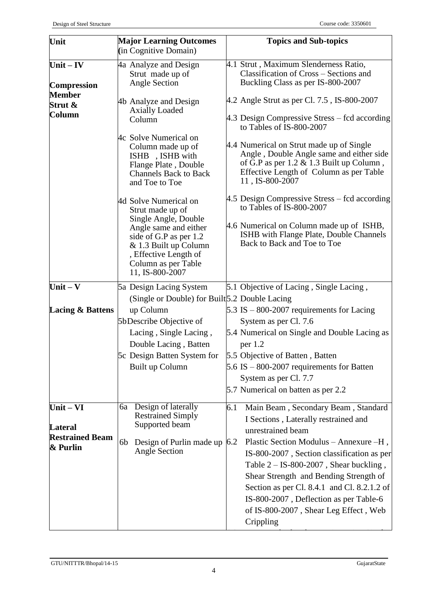| Unit                               | <b>Major Learning Outcomes</b><br>(in Cognitive Domain)                                                                                                                                                          | <b>Topics and Sub-topics</b>                                                                                                                                                                                                                                                                                                      |
|------------------------------------|------------------------------------------------------------------------------------------------------------------------------------------------------------------------------------------------------------------|-----------------------------------------------------------------------------------------------------------------------------------------------------------------------------------------------------------------------------------------------------------------------------------------------------------------------------------|
| Unit $-$ IV<br><b>Compression</b>  | 4a Analyze and Design<br>Strut made up of<br>Angle Section                                                                                                                                                       | 4.1 Strut, Maximum Slenderness Ratio,<br>Classification of Cross – Sections and<br>Buckling Class as per IS-800-2007                                                                                                                                                                                                              |
| <b>Member</b><br>Strut &<br>Column | 4b Analyze and Design<br><b>Axially Loaded</b><br>Column                                                                                                                                                         | 4.2 Angle Strut as per Cl. 7.5, IS-800-2007<br>4.3 Design Compressive Stress – fcd according<br>to Tables of IS-800-2007                                                                                                                                                                                                          |
|                                    | 4c Solve Numerical on<br>Column made up of<br>ISHB, ISHB with<br>Flange Plate, Double<br><b>Channels Back to Back</b><br>and Toe to Toe                                                                          | 4.4 Numerical on Strut made up of Single<br>Angle, Double Angle same and either side<br>of G.P as per $1.2 \& 1.3$ Built up Column,<br>Effective Length of Column as per Table<br>11, IS-800-2007                                                                                                                                 |
|                                    | 4d Solve Numerical on<br>Strut made up of<br>Single Angle, Double<br>Angle same and either<br>side of G.P as per 1.2<br>& 1.3 Built up Column<br>, Effective Length of<br>Column as per Table<br>11, IS-800-2007 | 4.5 Design Compressive Stress – fcd according<br>to Tables of IS-800-2007<br>4.6 Numerical on Column made up of ISHB,<br>ISHB with Flange Plate, Double Channels<br>Back to Back and Toe to Toe                                                                                                                                   |
| Unit $-V$                          | 5a Design Lacing System                                                                                                                                                                                          | 5.1 Objective of Lacing, Single Lacing,                                                                                                                                                                                                                                                                                           |
| <b>Lacing &amp; Battens</b>        | (Single or Double) for Built 5.2 Double Lacing<br>up Column<br>5bDescribe Objective of<br>Lacing, Single Lacing,<br>Double Lacing, Batten<br>5c Design Batten System for<br>Built up Column                      | 5.3 IS $-$ 800-2007 requirements for Lacing<br>System as per Cl. 7.6<br>5.4 Numerical on Single and Double Lacing as<br>per $1.2$<br>5.5 Objective of Batten, Batten<br>5.6 IS $-$ 800-2007 requirements for Batten<br>System as per Cl. 7.7                                                                                      |
|                                    |                                                                                                                                                                                                                  | 5.7 Numerical on batten as per 2.2                                                                                                                                                                                                                                                                                                |
| Unit $-$ VI<br><b>Lateral</b>      | Design of laterally<br>6a<br><b>Restrained Simply</b><br>Supported beam                                                                                                                                          | 6.1<br>Main Beam, Secondary Beam, Standard<br>I Sections, Laterally restrained and<br>unrestrained beam                                                                                                                                                                                                                           |
| <b>Restrained Beam</b><br>& Purlin | Design of Purlin made up<br>6b<br><b>Angle Section</b>                                                                                                                                                           | Plastic Section Modulus - Annexure -H,<br>6.2<br>IS-800-2007, Section classification as per<br>Table $2 - IS-800-2007$ , Shear buckling,<br>Shear Strength and Bending Strength of<br>Section as per Cl. 8.4.1 and Cl. 8.2.1.2 of<br>IS-800-2007, Deflection as per Table-6<br>of IS-800-2007, Shear Leg Effect, Web<br>Crippling |

Subjected to UDL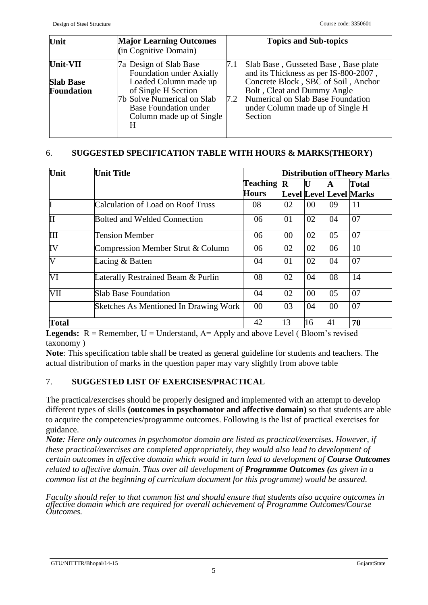| Unit                                              | <b>Major Learning Outcomes</b><br>(in Cognitive Domain)                                                                                                                                           |            | <b>Topics and Sub-topics</b>                                                                                                                                                                                                            |
|---------------------------------------------------|---------------------------------------------------------------------------------------------------------------------------------------------------------------------------------------------------|------------|-----------------------------------------------------------------------------------------------------------------------------------------------------------------------------------------------------------------------------------------|
| Unit-VII<br><b>Slab Base</b><br><b>Foundation</b> | 7a Design of Slab Base<br>Foundation under Axially<br>Loaded Column made up<br>of Single H Section<br>7b Solve Numerical on Slab<br><b>Base Foundation under</b><br>Column made up of Single<br>H | 7.1<br>7.2 | Slab Base, Gusseted Base, Base plate<br>and its Thickness as per IS-800-2007,<br>Concrete Block, SBC of Soil, Anchor<br>Bolt, Cleat and Dummy Angle<br>Numerical on Slab Base Foundation<br>under Column made up of Single H<br>Section |

## 6. **SUGGESTED SPECIFICATION TABLE WITH HOURS & MARKS(THEORY)**

| Unit          | <b>Unit Title</b>                     |                 | <b>Distribution of Theory Marks</b> |        |    |                                |
|---------------|---------------------------------------|-----------------|-------------------------------------|--------|----|--------------------------------|
|               |                                       | <b>Teaching</b> | $\mathbf R$                         | U      | A  | <b>Total</b>                   |
|               |                                       | <b>Hours</b>    |                                     |        |    | <b>Level Level Level Marks</b> |
|               | Calculation of Load on Roof Truss     | 08              | 02                                  | 00     | 09 | 11                             |
| $\mathbf{II}$ | <b>Bolted and Welded Connection</b>   | 06              | 01                                  | 02     | 04 | 07                             |
| Ш             | <b>Tension Member</b>                 | 06              | 00                                  | 02     | 05 | 07                             |
| IV            | Compression Member Strut & Column     | 06              | 02                                  | 02     | 06 | 10                             |
| V             | Lacing & Batten                       | 04              | 01                                  | 02     | 04 | 07                             |
| VI            | Laterally Restrained Beam & Purlin    | 08              | 02                                  | 04     | 08 | 14                             |
| VII           | <b>Slab Base Foundation</b>           | 04              | 02                                  | $00\,$ | 05 | 07                             |
|               | Sketches As Mentioned In Drawing Work | 00              | 03                                  | 04     | 00 | 07                             |
| <b>Total</b>  |                                       | 42              | 13                                  | 16     | 41 | 70                             |

**Legends:**  $R =$  Remember,  $U =$  Understand,  $A =$  Apply and above Level (Bloom's revised taxonomy )

**Note**: This specification table shall be treated as general guideline for students and teachers. The actual distribution of marks in the question paper may vary slightly from above table

### 7. **SUGGESTED LIST OF EXERCISES/PRACTICAL**

The practical/exercises should be properly designed and implemented with an attempt to develop different types of skills **(outcomes in psychomotor and affective domain)** so that students are able to acquire the competencies/programme outcomes. Following is the list of practical exercises for guidance.

*Note: Here only outcomes in psychomotor domain are listed as practical/exercises. However, if these practical/exercises are completed appropriately, they would also lead to development of certain outcomes in affective domain which would in turn lead to development of Course Outcomes related to affective domain. Thus over all development of Programme Outcomes (as given in a common list at the beginning of curriculum document for this programme) would be assured.* 

*Faculty should refer to that common list and should ensure that students also acquire outcomes in affective domain which are required for overall achievement of Programme Outcomes/Course Outcomes.*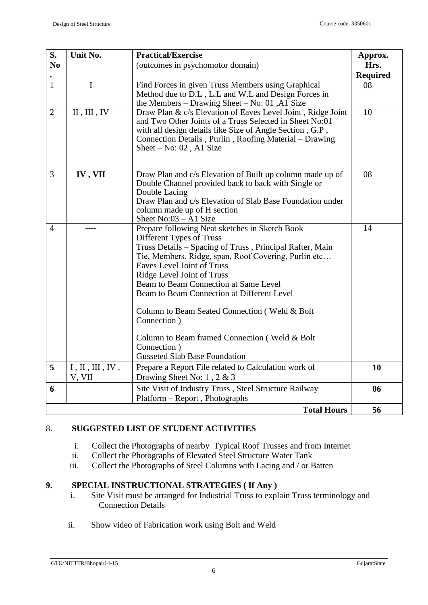| S.             | Unit No.<br><b>Practical/Exercise</b>         |                                                                                                                                                                                                                                                                                                                                                                                                                                                                                                                            | Approx.         |
|----------------|-----------------------------------------------|----------------------------------------------------------------------------------------------------------------------------------------------------------------------------------------------------------------------------------------------------------------------------------------------------------------------------------------------------------------------------------------------------------------------------------------------------------------------------------------------------------------------------|-----------------|
| N <sub>0</sub> |                                               | (outcomes in psychomotor domain)                                                                                                                                                                                                                                                                                                                                                                                                                                                                                           | Hrs.            |
|                |                                               |                                                                                                                                                                                                                                                                                                                                                                                                                                                                                                                            | <b>Required</b> |
| $\mathbf{1}$   | $\mathbf{I}$                                  | Find Forces in given Truss Members using Graphical                                                                                                                                                                                                                                                                                                                                                                                                                                                                         | 08              |
|                |                                               | Method due to D.L, L.L and W.L and Design Forces in<br>the Members $-$ Drawing Sheet $-$ No: 01, A1 Size                                                                                                                                                                                                                                                                                                                                                                                                                   |                 |
| $\overline{2}$ | $\overline{\text{II}, \text{III}, \text{IV}}$ | Draw Plan & c/s Elevation of Eaves Level Joint, Ridge Joint<br>and Two Other Joints of a Truss Selected in Sheet No:01<br>with all design details like Size of Angle Section, G.P,<br>Connection Details, Purlin, Roofing Material - Drawing<br>Sheet $-$ No: 02, A1 Size                                                                                                                                                                                                                                                  | 10              |
| $\overline{3}$ | IV, VII                                       | Draw Plan and c/s Elevation of Built up column made up of<br>Double Channel provided back to back with Single or<br>Double Lacing<br>Draw Plan and c/s Elevation of Slab Base Foundation under<br>column made up of H section<br>Sheet $No:03 - A1$ Size                                                                                                                                                                                                                                                                   | $\overline{08}$ |
| 4              |                                               | Prepare following Neat sketches in Sketch Book<br>Different Types of Truss<br>Truss Details - Spacing of Truss, Principal Rafter, Main<br>Tie, Members, Ridge, span, Roof Covering, Purlin etc<br>Eaves Level Joint of Truss<br>Ridge Level Joint of Truss<br>Beam to Beam Connection at Same Level<br>Beam to Beam Connection at Different Level<br>Column to Beam Seated Connection (Weld & Bolt<br>Connection )<br>Column to Beam framed Connection (Weld & Bolt<br>Connection)<br><b>Gusseted Slab Base Foundation</b> | 14              |
| 5              | I, II, III, IV,                               | Prepare a Report File related to Calculation work of                                                                                                                                                                                                                                                                                                                                                                                                                                                                       | 10              |
|                | V, VII                                        | Drawing Sheet No: $1, 2 \& 3$                                                                                                                                                                                                                                                                                                                                                                                                                                                                                              |                 |
| 6              |                                               | Site Visit of Industry Truss, Steel Structure Railway                                                                                                                                                                                                                                                                                                                                                                                                                                                                      | 06              |
|                |                                               | Platform – Report, Photographs                                                                                                                                                                                                                                                                                                                                                                                                                                                                                             |                 |
|                |                                               | <b>Total Hours</b>                                                                                                                                                                                                                                                                                                                                                                                                                                                                                                         | 56              |

# 8. **SUGGESTED LIST OF STUDENT ACTIVITIES**

- i. Collect the Photographs of nearby Typical Roof Trusses and from Internet
- ii. Collect the Photographs of Elevated Steel Structure Water Tank
- iii. Collect the Photographs of Steel Columns with Lacing and / or Batten

# **9. SPECIAL INSTRUCTIONAL STRATEGIES ( If Any )**

- i. Site Visit must be arranged for Industrial Truss to explain Truss terminology and Connection Details
- ii. Show video of Fabrication work using Bolt and Weld